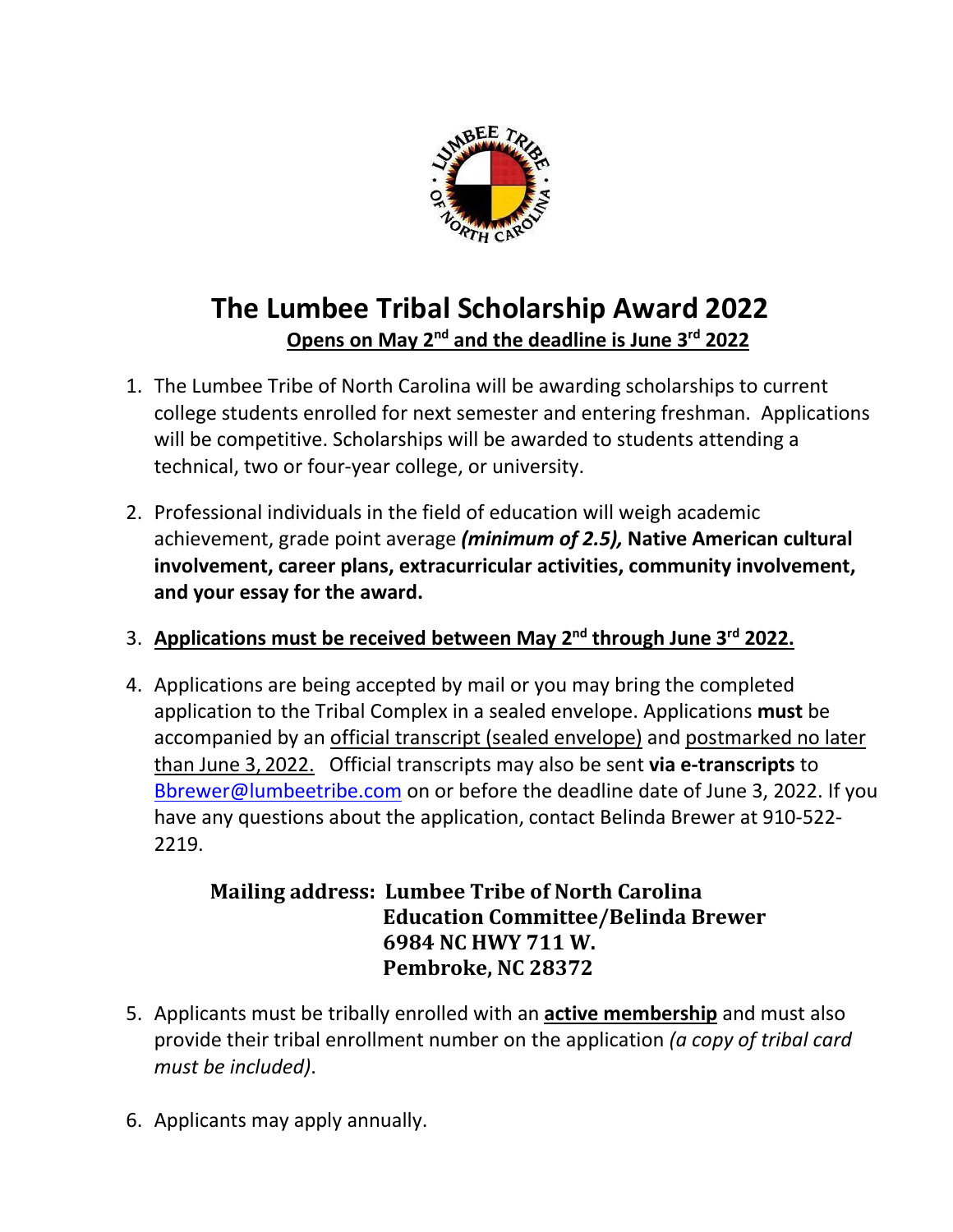

## **The Lumbee Tribal Scholarship Award 2022 Opens on May 2nd and the deadline is June 3rd 2022**

- 1. The Lumbee Tribe of North Carolina will be awarding scholarships to current college students enrolled for next semester and entering freshman. Applications will be competitive. Scholarships will be awarded to students attending a technical, two or four-year college, or university.
- 2. Professional individuals in the field of education will weigh academic achievement, grade point average *(minimum of 2.5),* **Native American cultural involvement, career plans, extracurricular activities, community involvement, and your essay for the award.**
- 3. **Applications must be received between May 2 nd through June 3rd 2022.**
- 4. Applications are being accepted by mail or you may bring the completed application to the Tribal Complex in a sealed envelope. Applications **must** be accompanied by an official transcript (sealed envelope) and postmarked no later than June 3, 2022. Official transcripts may also be sent **via e-transcripts** to [Bbrewer@lumbeetribe.com](mailto:Bbrewer@lumbeetribe.com) on or before the deadline date of June 3, 2022. If you have any questions about the application, contact Belinda Brewer at 910-522- 2219.

## **Mailing address: Lumbee Tribe of North Carolina Education Committee/Belinda Brewer 6984 NC HWY 711 W. Pembroke, NC 28372**

- 5. Applicants must be tribally enrolled with an **active membership** and must also provide their tribal enrollment number on the application *(a copy of tribal card must be included)*.
- 6. Applicants may apply annually.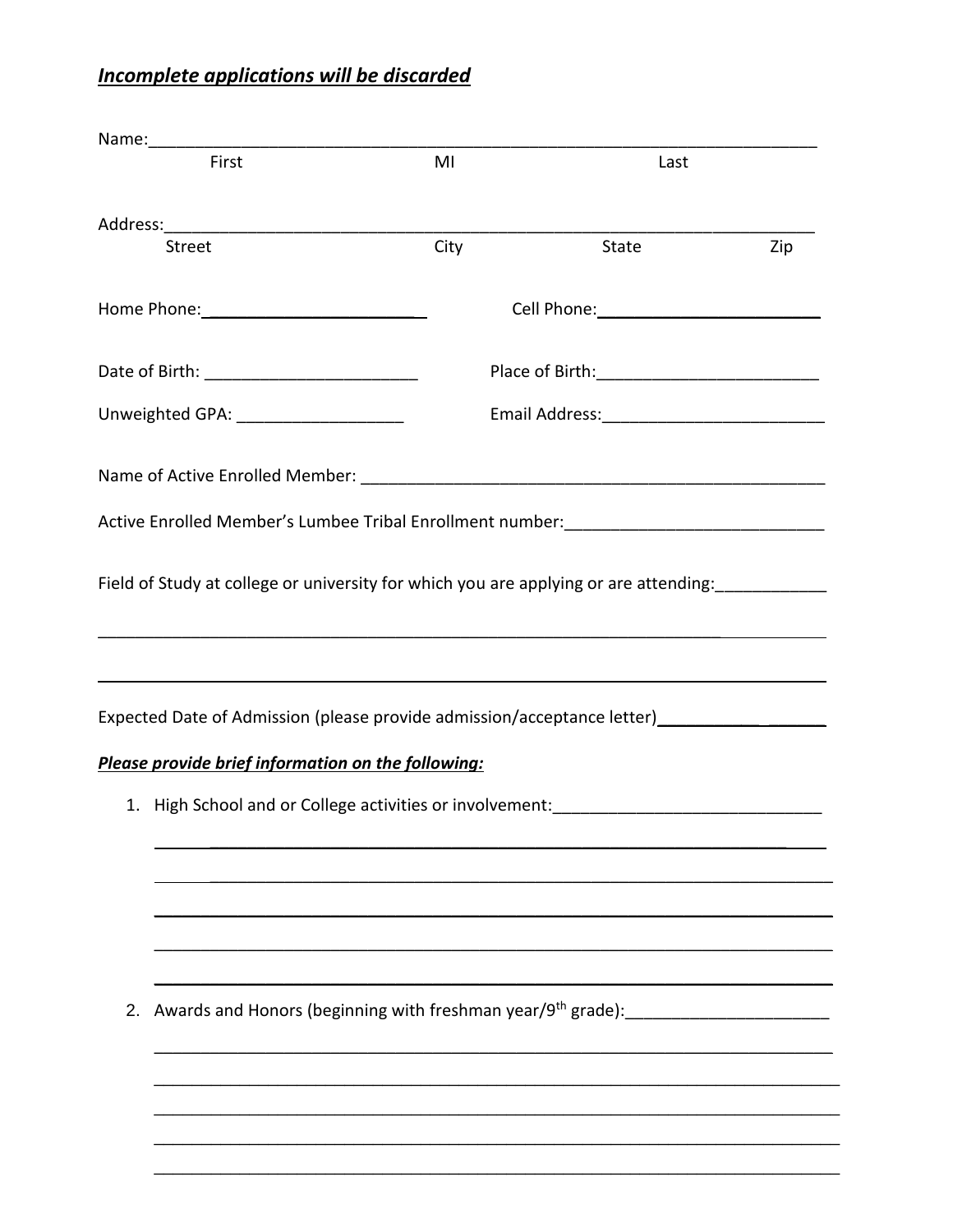## **Incomplete applications will be discarded**

| First                                                                                   | MI                                                                                           | Last  |     |  |
|-----------------------------------------------------------------------------------------|----------------------------------------------------------------------------------------------|-------|-----|--|
|                                                                                         |                                                                                              |       |     |  |
|                                                                                         |                                                                                              |       |     |  |
| <b>Street</b>                                                                           | City                                                                                         | State | Zip |  |
|                                                                                         |                                                                                              |       |     |  |
|                                                                                         |                                                                                              |       |     |  |
| Unweighted GPA: _______________________                                                 |                                                                                              |       |     |  |
|                                                                                         |                                                                                              |       |     |  |
| Active Enrolled Member's Lumbee Tribal Enrollment number: _______________________       |                                                                                              |       |     |  |
|                                                                                         |                                                                                              |       |     |  |
| ,我们也不会有什么。""我们的人,我们也不会有什么?""我们的人,我们也不会有什么?""我们的人,我们也不会有什么?""我们的人,我们也不会有什么?""我们的人        |                                                                                              |       |     |  |
|                                                                                         |                                                                                              |       |     |  |
| Expected Date of Admission (please provide admission/acceptance letter) _______________ |                                                                                              |       |     |  |
| Please provide brief information on the following:                                      |                                                                                              |       |     |  |
| 1. High School and or College activities or involvement: ________________________       |                                                                                              |       |     |  |
|                                                                                         |                                                                                              |       |     |  |
|                                                                                         |                                                                                              |       |     |  |
|                                                                                         |                                                                                              |       |     |  |
|                                                                                         |                                                                                              |       |     |  |
|                                                                                         |                                                                                              |       |     |  |
| 2.                                                                                      | Awards and Honors (beginning with freshman year/9 <sup>th</sup> grade): ____________________ |       |     |  |
|                                                                                         |                                                                                              |       |     |  |
|                                                                                         |                                                                                              |       |     |  |
|                                                                                         |                                                                                              |       |     |  |